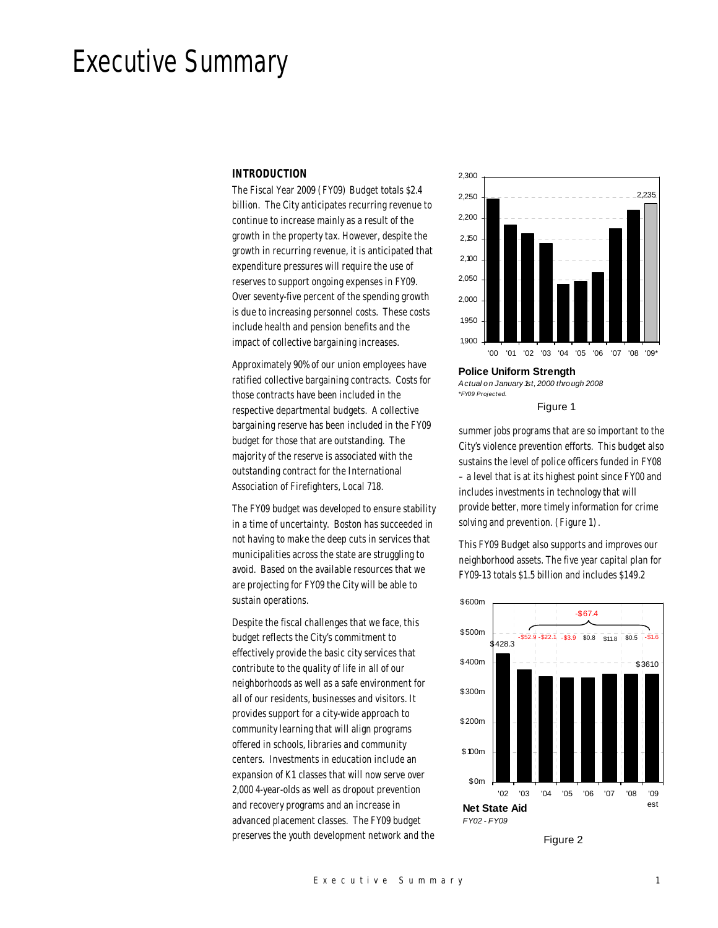# Executive Summary

## *INTRODUCTION*

The Fiscal Year 2009 (FY09) Budget totals \$2.4 billion. The City anticipates recurring revenue to continue to increase mainly as a result of the growth in the property tax. However, despite the growth in recurring revenue, it is anticipated that expenditure pressures will require the use of reserves to support ongoing expenses in FY09. Over seventy-five percent of the spending growth is due to increasing personnel costs. These costs include health and pension benefits and the impact of collective bargaining increases.

Approximately 90% of our union employees have ratified collective bargaining contracts. Costs for those contracts have been included in the respective departmental budgets. A collective bargaining reserve has been included in the FY09 budget for those that are outstanding. The majority of the reserve is associated with the outstanding contract for the International Association of Firefighters, Local 718.

The FY09 budget was developed to ensure stability in a time of uncertainty. Boston has succeeded in not having to make the deep cuts in services that municipalities across the state are struggling to avoid. Based on the available resources that we are projecting for FY09 the City will be able to sustain operations.

Despite the fiscal challenges that we face, this budget reflects the City's commitment to effectively provide the basic city services that contribute to the quality of life in all of our neighborhoods as well as a safe environment for all of our residents, businesses and visitors. It provides support for a city-wide approach to community learning that will align programs offered in schools, libraries and community centers. Investments in education include an expansion of K1 classes that will now serve over 2,000 4-year-olds as well as dropout prevention and recovery programs and an increase in advanced placement classes. The FY09 budget preserves the youth development network and the



*Actual on January 1st, 2000 through 2008 \*FY09 Project ed.*

Figure 1

summer jobs programs that are so important to the City's violence prevention efforts. This budget also sustains the level of police officers funded in FY08 – a level that is at its highest point since FY00 and includes investments in technology that will provide better, more timely information for crime solving and prevention. (Figure 1).

This FY09 Budget also supports and improves our neighborhood assets. The five year capital plan for FY09-13 totals \$1.5 billion and includes \$149.2



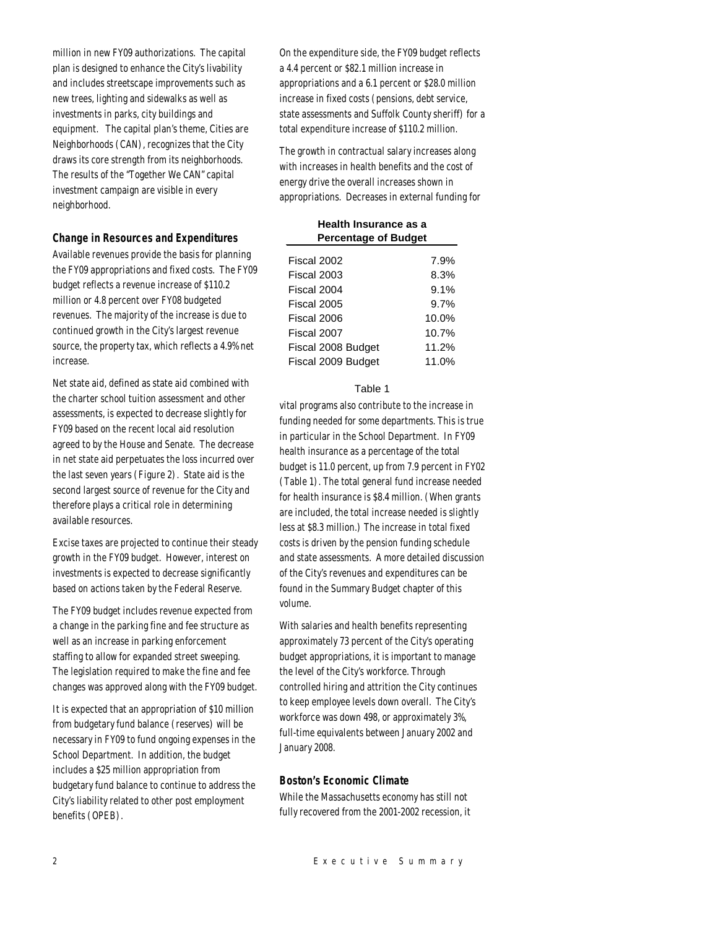million in new FY09 authorizations. The capital plan is designed to enhance the City's livability and includes streetscape improvements such as new trees, lighting and sidewalks as well as investments in parks, city buildings and equipment. The capital plan's theme, Cities are Neighborhoods (CAN), recognizes that the City draws its core strength from its neighborhoods. The results of the "Together We CAN" capital investment campaign are visible in every neighborhood.

## *Change in Resources and Expenditures*

Available revenues provide the basis for planning the FY09 appropriations and fixed costs. The FY09 budget reflects a revenue increase of \$110.2 million or 4.8 percent over FY08 budgeted revenues. The majority of the increase is due to continued growth in the City's largest revenue source, the property tax, which reflects a 4.9% net increase.

Net state aid, defined as state aid combined with the charter school tuition assessment and other assessments, is expected to decrease slightly for FY09 based on the recent local aid resolution agreed to by the House and Senate. The decrease in net state aid perpetuates the loss incurred over the last seven years (Figure 2). State aid is the second largest source of revenue for the City and therefore plays a critical role in determining available resources.

Excise taxes are projected to continue their steady growth in the FY09 budget. However, interest on investments is expected to decrease significantly based on actions taken by the Federal Reserve.

The FY09 budget includes revenue expected from a change in the parking fine and fee structure as well as an increase in parking enforcement staffing to allow for expanded street sweeping. The legislation required to make the fine and fee changes was approved along with the FY09 budget.

It is expected that an appropriation of \$10 million from budgetary fund balance (reserves) will be necessary in FY09 to fund ongoing expenses in the School Department. In addition, the budget includes a \$25 million appropriation from budgetary fund balance to continue to address the City's liability related to other post employment benefits (OPEB).

On the expenditure side, the FY09 budget reflects a 4.4 percent or \$82.1 million increase in appropriations and a 6.1 percent or \$28.0 million increase in fixed costs (pensions, debt service, state assessments and Suffolk County sheriff) for a total expenditure increase of \$110.2 million.

The growth in contractual salary increases along with increases in health benefits and the cost of energy drive the overall increases shown in appropriations. Decreases in external funding for

| Health Insurance as a       |          |
|-----------------------------|----------|
| <b>Percentage of Budget</b> |          |
| Fiscal 2002                 | 7.9%     |
|                             |          |
| Fiscal 2003                 | 8.3%     |
| Fiscal 2004                 | 9.1%     |
| Fiscal 2005                 | 9.7%     |
| Fiscal 2006                 | $10.0\%$ |
| Fiscal 2007                 | 10.7%    |
| Fiscal 2008 Budget          | 11.2%    |
| Fiscal 2009 Budget          | 11.0%    |

#### Table 1

vital programs also contribute to the increase in funding needed for some departments. This is true in particular in the School Department. In FY09 health insurance as a percentage of the total budget is 11.0 percent, up from 7.9 percent in FY02 (Table 1). The total general fund increase needed for health insurance is \$8.4 million. (When grants are included, the total increase needed is slightly less at \$8.3 million.) The increase in total fixed costs is driven by the pension funding schedule and state assessments. A more detailed discussion of the City's revenues and expenditures can be found in the Summary Budget chapter of this volume.

With salaries and health benefits representing approximately 73 percent of the City's operating budget appropriations, it is important to manage the level of the City's workforce. Through controlled hiring and attrition the City continues to keep employee levels down overall. The City's workforce was down 498, or approximately 3%, full-time equivalents between January 2002 and January 2008.

## *Boston's Economic Climate*

While the Massachusetts economy has still not fully recovered from the 2001-2002 recession, it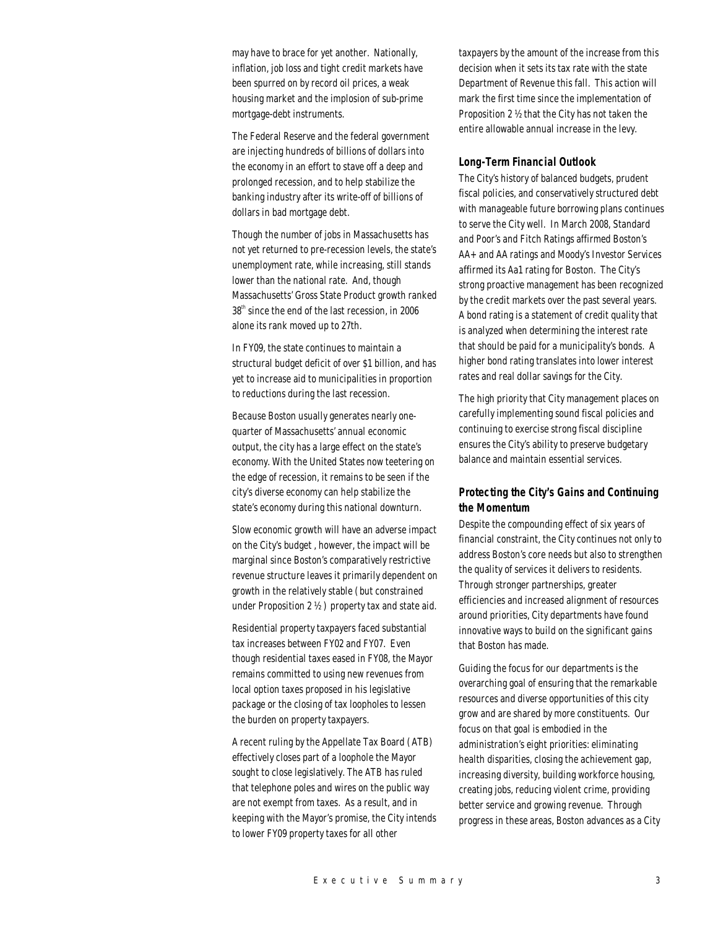may have to brace for yet another. Nationally, inflation, job loss and tight credit markets have been spurred on by record oil prices, a weak housing market and the implosion of sub-prime mortgage-debt instruments.

The Federal Reserve and the federal government are injecting hundreds of billions of dollars into the economy in an effort to stave off a deep and prolonged recession, and to help stabilize the banking industry after its write-off of billions of dollars in bad mortgage debt.

Though the number of jobs in Massachusetts has not yet returned to pre-recession levels, the state's unemployment rate, while increasing, still stands lower than the national rate. And, though Massachusetts' Gross State Product growth ranked 38<sup>th</sup> since the end of the last recession, in 2006 alone its rank moved up to 27th.

In FY09, the state continues to maintain a structural budget deficit of over \$1 billion, and has yet to increase aid to municipalities in proportion to reductions during the last recession.

Because Boston usually generates nearly onequarter of Massachusetts' annual economic output, the city has a large effect on the state's economy. With the United States now teetering on the edge of recession, it remains to be seen if the city's diverse economy can help stabilize the state's economy during this national downturn.

Slow economic growth will have an adverse impact on the City's budget , however, the impact will be marginal since Boston's comparatively restrictive revenue structure leaves it primarily dependent on growth in the relatively stable (but constrained under Proposition 2 ½ ) property tax and state aid.

Residential property taxpayers faced substantial tax increases between FY02 and FY07. Even though residential taxes eased in FY08, the Mayor remains committed to using new revenues from local option taxes proposed in his legislative package or the closing of tax loopholes to lessen the burden on property taxpayers.

A recent ruling by the Appellate Tax Board (ATB) effectively closes part of a loophole the Mayor sought to close legislatively. The ATB has ruled that telephone poles and wires on the public way are not exempt from taxes. As a result, and in keeping with the Mayor's promise, the City intends to lower FY09 property taxes for all other

taxpayers by the amount of the increase from this decision when it sets its tax rate with the state Department of Revenue this fall. This action will mark the first time since the implementation of Proposition 2 ½ that the City has not taken the entire allowable annual increase in the levy.

## *Long-Term Financial Outlook*

The City's history of balanced budgets, prudent fiscal policies, and conservatively structured debt with manageable future borrowing plans continues to serve the City well. In March 2008, Standard and Poor's and Fitch Ratings affirmed Boston's AA+ and AA ratings and Moody's Investor Services affirmed its Aa1 rating for Boston. The City's strong proactive management has been recognized by the credit markets over the past several years. A bond rating is a statement of credit quality that is analyzed when determining the interest rate that should be paid for a municipality's bonds. A higher bond rating translates into lower interest rates and real dollar savings for the City.

The high priority that City management places on carefully implementing sound fiscal policies and continuing to exercise strong fiscal discipline ensures the City's ability to preserve budgetary balance and maintain essential services.

## *Protecting the City's Gains and Continuing the Momentum*

Despite the compounding effect of six years of financial constraint, the City continues not only to address Boston's core needs but also to strengthen the quality of services it delivers to residents. Through stronger partnerships, greater efficiencies and increased alignment of resources around priorities, City departments have found innovative ways to build on the significant gains that Boston has made.

Guiding the focus for our departments is the overarching goal of ensuring that the remarkable resources and diverse opportunities of this city grow and are shared by more constituents. Our focus on that goal is embodied in the administration's eight priorities: eliminating health disparities, closing the achievement gap, increasing diversity, building workforce housing, creating jobs, reducing violent crime, providing better service and growing revenue. Through progress in these areas, Boston advances as a City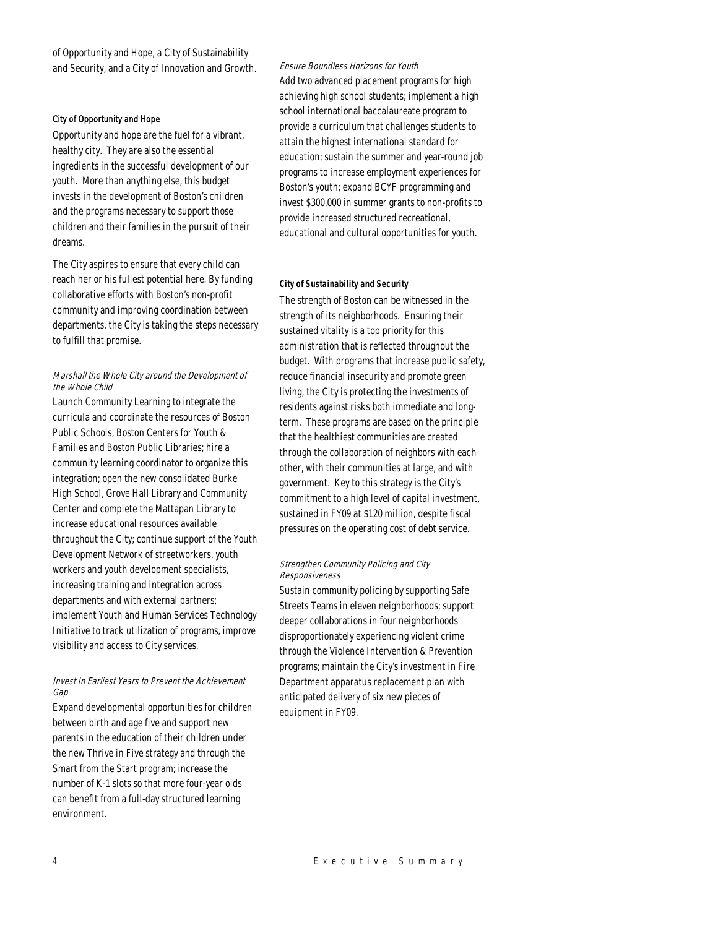of Opportunity and Hope, a City of Sustainability and Security, and a City of Innovation and Growth.

#### City of Opportunity and Hope

Opportunity and hope are the fuel for a vibrant, healthy city. They are also the essential ingredients in the successful development of our youth. More than anything else, this budget invests in the development of Boston's children and the programs necessary to support those children and their families in the pursuit of their dreams.

The City aspires to ensure that every child can reach her or his fullest potential here. By funding collaborative efforts with Boston's non-profit community and improving coordination between departments, the City is taking the steps necessary to fulfill that promise.

## Marshall the Whole City around the Development of the Whole Child

Launch Community Learning to integrate the curricula and coordinate the resources of Boston Public Schools, Boston Centers for Youth & Families and Boston Public Libraries; hire a community learning coordinator to organize this integration; open the new consolidated Burke High School, Grove Hall Library and Community Center and complete the Mattapan Library to increase educational resources available throughout the City; continue support of the Youth Development Network of streetworkers, youth workers and youth development specialists, increasing training and integration across departments and with external partners; implement Youth and Human Services Technology Initiative to track utilization of programs, improve visibility and access to City services.

## Invest In Earliest Years to Prevent the Achievement Gap

Expand developmental opportunities for children between birth and age five and support new parents in the education of their children under the new Thrive in Five strategy and through the Smart from the Start program; increase the number of K-1 slots so that more four-year olds can benefit from a full-day structured learning environment.

Ensure Boundless Horizons for Youth Add two advanced placement programs for high achieving high school students; implement a high school international baccalaureate program to provide a curriculum that challenges students to attain the highest international standard for education; sustain the summer and year-round job programs to increase employment experiences for Boston's youth; expand BCYF programming and invest \$300,000 in summer grants to non-profits to provide increased structured recreational, educational and cultural opportunities for youth.

## *City of Sustainability and Security*

The strength of Boston can be witnessed in the strength of its neighborhoods. Ensuring their sustained vitality is a top priority for this administration that is reflected throughout the budget. With programs that increase public safety, reduce financial insecurity and promote green living, the City is protecting the investments of residents against risks both immediate and longterm. These programs are based on the principle that the healthiest communities are created through the collaboration of neighbors with each other, with their communities at large, and with government. Key to this strategy is the City's commitment to a high level of capital investment, sustained in FY09 at \$120 million, despite fiscal pressures on the operating cost of debt service.

## Strengthen Community Policing and City Responsiveness

Sustain community policing by supporting Safe Streets Teams in eleven neighborhoods; support deeper collaborations in four neighborhoods disproportionately experiencing violent crime through the Violence Intervention & Prevention programs; maintain the City's investment in Fire Department apparatus replacement plan with anticipated delivery of six new pieces of equipment in FY09.